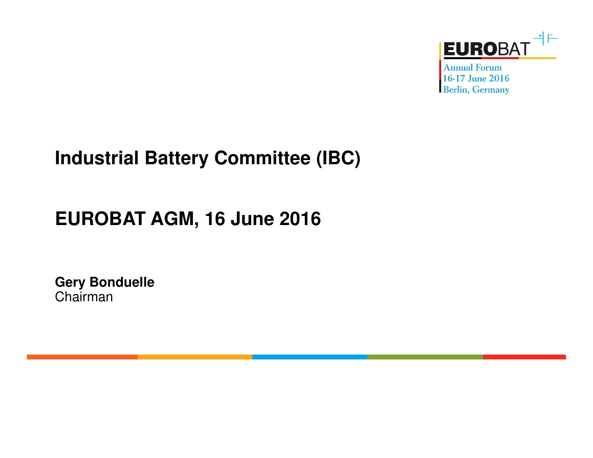

**Annual Forum** 16-17 June 2016 **Berlin, Germany** 

## **Industrial Battery Committee (IBC)**

# **EUROBAT AGM, 16 June 2016**

**Gery Bonduelle**Chairman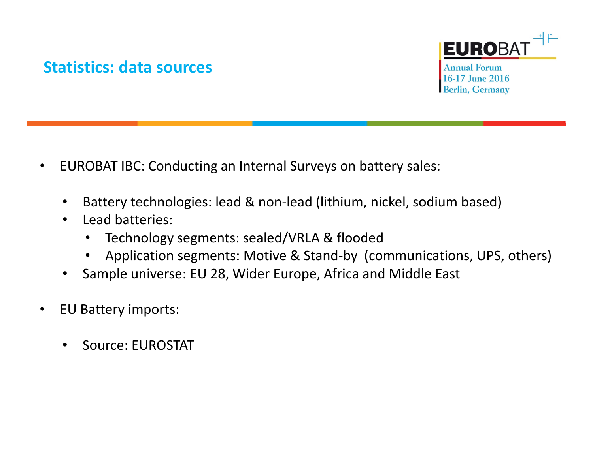#### **Statistics: data sources**



**Annual Forum** 16-17 June 2016 **Berlin, Germany** 

- $\bullet$  EUROBAT IBC: Conducting an Internal Surveys on battery sales:
	- •Battery technologies: lead & non-lead (lithium, nickel, sodium based)
	- • Lead batteries:
		- $\bullet$ Technology segments: sealed/VRLA & flooded
		- Application segments: Motive & Stand-by (communications, UPS, others)  $\bullet$
	- •Sample universe: EU 28, Wider Europe, Africa and Middle East
- $\bullet$  EU Battery imports:
	- •Source: EUROSTAT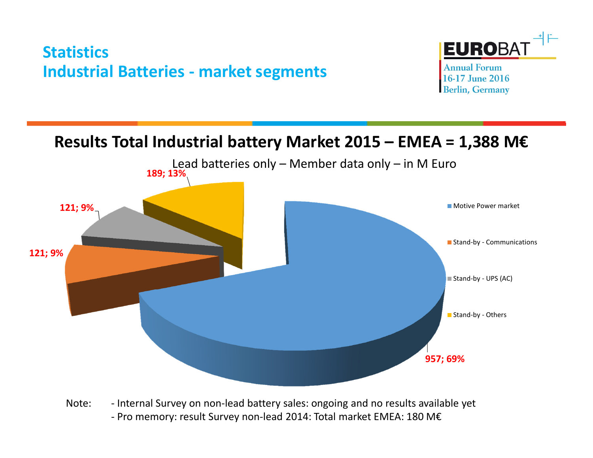### **Statistics Industrial Batteries - market segments**



**Annual Forum** 16-17 June 2016 **Berlin, Germany** 

#### **Results Total Industrial battery Market 2015 – EMEA = 1,388 M€**



Note: - Internal Survey on non-lead battery sales: ongoing and no results available yet - Pro memory: result Survey non-lead 2014: Total market EMEA: 180 M€